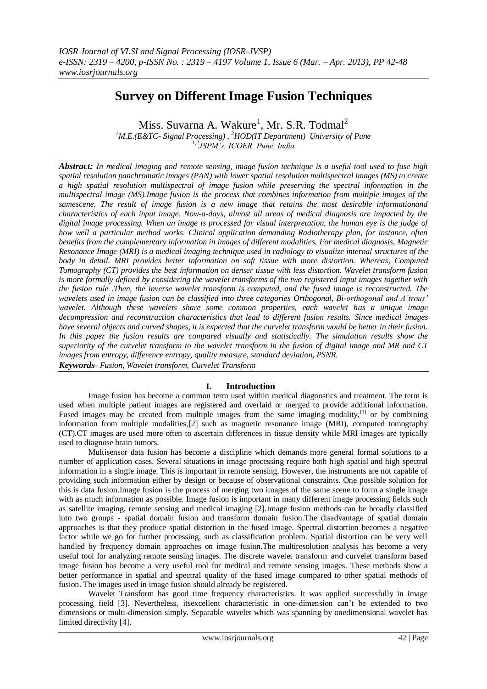# **Survey on Different Image Fusion Techniques**

Miss. Suvarna A. Wakure<sup>1</sup>, Mr. S.R. Todmal<sup>2</sup>

*<sup>1</sup>M.E.(E&TC- Signal Processing) , <sup>2</sup>HOD(IT Department) University of Pune 1,2JSPM's, ICOER, Pune, India* 

*Abstract: In medical imaging and remote sensing, image fusion technique is a useful tool used to fuse high spatial resolution panchromatic images (PAN) with lower spatial resolution multispectral images (MS) to create a high spatial resolution multispectral of image fusion while preserving the spectral information in the multispectral image (MS).Image fusion is the process that combines information from multiple images of the samescene. The result of image fusion is a new image that retains the most desirable informationand characteristics of each input image. Now-a-days, almost all areas of medical diagnosis are impacted by the digital image processing. When an image is processed for visual interpretation, the human eye is the judge of how well a particular method works. Clinical application demanding Radiotherapy plan, for instance, often benefits from the complementary information in images of different modalities. For medical diagnosis, Magnetic Resonance Image (MRI) is a [medical imaging](http://en.wikipedia.org/wiki/Medical_imaging) technique used in [radiology](http://en.wikipedia.org/wiki/Radiology) to visualize internal structures of the body in detail. MRI provides better information on soft tissue with more distortion. Whereas, Computed Tomography (CT) provides the best information on denser tissue with less distortion. Wavelet transform fusion is more formally defined by considering the wavelet transforms of the two registered input images together with the fusion rule .Then, the inverse wavelet transform is computed, and the fused image is reconstructed. The wavelets used in image fusion can be classified into three categories Orthogonal, Bi-orthogonal and A'trous'*  wavelet. Although these wavelets share some common properties, each wavelet has a unique image *decompression and reconstruction characteristics that lead to different fusion results. Since medical images have several objects and curved shapes, it is expected that the curvelet transform would be better in their fusion. In this paper the fusion results are compared visually and statistically. The simulation results show the superiority of the curvelet transform to the wavelet transform in the fusion of digital image and MR and CT images from entropy, difference entropy, quality measure, standard deviation, PSNR. Keywords- Fusion, Wavelet transform, Curvelet Transform*

# **I. Introduction**

Image fusion has become a common term used within medical diagnostics and treatment. The term is used when multiple patient images are registered and overlaid or merged to provide additional information. Fused images may be created from multiple images from the same imaging modality, $[1]$  or by combining information from multiple modalities[,\[2\]](http://en.wikipedia.org/wiki/Image_fusion#cite_note-1) such as [magnetic resonance image](http://en.wikipedia.org/wiki/Magnetic_resonance_image) (MRI), [computed tomography](http://en.wikipedia.org/wiki/Computed_tomography) (CT).CT images are used more often to ascertain differences in tissue density while MRI images are typically used to diagnose brain tumors.

Multisensor data fusion has become a discipline which demands more general formal solutions to a number of application cases. Several situations in image processing require both high spatial and high spectral information in a single image. This is important in remote sensing. However, the instruments are not capable of providing such information either by design or because of observational constraints. One possible solution for this is data fusion.Image fusion is the process of merging two images of the same scene to form a single image with as much information as possible. Image fusion is important in many different image processing fields such as satellite imaging, remote sensing and medical imaging [2].Image fusion methods can be broadly classified into two groups - spatial domain fusion and transform domain fusion.The disadvantage of spatial domain approaches is that they produce spatial distortion in the fused image. Spectral distortion becomes a negative factor while we go for further processing, such as classification problem. Spatial distortion can be very well handled by frequency domain approaches on image fusion.The multiresolution analysis has become a very useful tool for analyzing remote sensing images. The [discrete wavelet transform](http://en.wikipedia.org/wiki/Discrete_wavelet_transform) and curvelet transform based image fusion has become a very useful tool for medical and remote sensing images. These methods show a better performance in spatial and spectral quality of the fused image compared to other spatial methods of fusion. The images used in image fusion should already be [registered.](http://en.wikipedia.org/wiki/Image_registration)

Wavelet Transform has good time frequency characteristics. It was applied successfully in image processing field [3]. Nevertheless, itsexcellent characteristic in one-dimension can't be extended to two dimensions or multi-dimension simply. Separable wavelet which was spanning by onedimensional wavelet has limited directivity [4].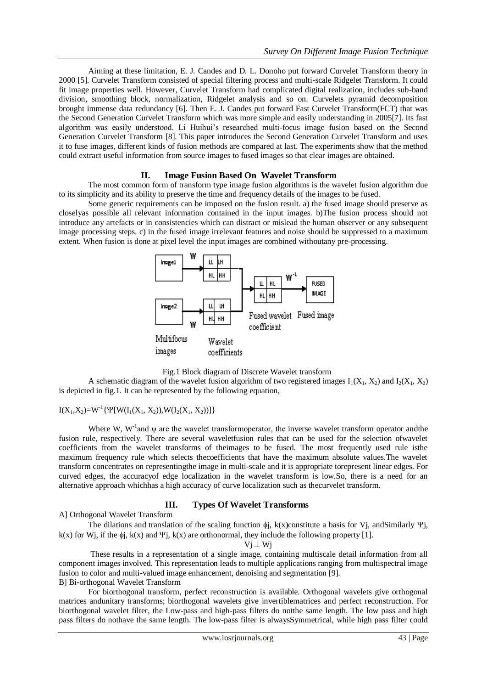Aiming at these limitation, E. J. Candes and D. L. Donoho put forward Curvelet Transform theory in 2000 [5]. Curvelet Transform consisted of special filtering process and multi-scale Ridgelet Transform. It could fit image properties well. However, Curvelet Transform had complicated digital realization, includes sub-band division, smoothing block, normalization, Ridgelet analysis and so on. Curvelets pyramid decomposition brought immense data redundancy [6]. Then E. J. Candes put forward Fast Curvelet Transform(FCT) that was the Second Generation Curvelet Transform which was more simple and easily understanding in 2005[7]. Its fast algorithm was easily understood. Li Huihui's researched multi-focus image fusion based on the Second Generation Curvelet Transform [8]. This paper introduces the Second Generation Curvelet Transform and uses it to fuse images, different kinds of fusion methods are compared at last. The experiments show that the method could extract useful information from source images to fused images so that clear images are obtained.

## **II. Image Fusion Based On Wavelet Transform**

The most common form of transform type image fusion algorithms is the wavelet fusion algorithm due to its simplicity and its ability to preserve the time and frequency details of the images to be fused.

Some generic requirements can be imposed on the fusion result. a) the fused image should preserve as closelyas possible all relevant information contained in the input images. b)The fusion process should not introduce any artefacts or in consistencies which can distract or mislead the human observer or any subsequent image processing steps. c) in the fused image irrelevant features and noise should be suppressed to a maximum extent. When fusion is done at pixel level the input images are combined withoutany pre-processing.





A schematic diagram of the wavelet fusion algorithm of two registered images  $I_1(X_1, X_2)$  and  $I_2(X_1, X_2)$ is depicted in fig.1. It can be represented by the following equation,

 $I(X_1, X_2) = W^{-1} \{ \Psi[W(I_1(X_1, X_2)), W(I_2(X_1, X_2))] \}$ 

Where W,  $W^{-1}$  and  $\psi$  are the wavelet transformoperator, the inverse wavelet transform operator and the fusion rule, respectively. There are several waveletfusion rules that can be used for the selection ofwavelet coefficients from the wavelet transforms of theimages to be fused. The most frequently used rule isthe maximum frequency rule which selects thecoefficients that have the maximum absolute values.The wavelet transform concentrates on representingthe image in multi-scale and it is appropriate torepresent linear edges. For curved edges, the accuracyof edge localization in the wavelet transform is low.So, there is a need for an alternative approach whichhas a high accuracy of curve localization such as thecurvelet transform.

## **III. Types Of Wavelet Transforms**

A] Orthogonal Wavelet Transform

The dilations and translation of the scaling function  $\phi$ j, k(x)constitute a basis for Vj, andSimilarly  $\Psi$ j, k(x) for Wi, if the  $\phi$ j, k(x) and  $\Psi$ j, k(x) are orthonormal, they include the following property [1].

 $Vj \perp Wi$ 

These results in a representation of a single image, containing multiscale detail information from all component images involved. This representation leads to multiple applications ranging from multispectral image fusion to color and multi-valued image enhancement, denoising and segmentation [9]. B] Bi-orthogonal Wavelet Transform

For biorthogonal transform, perfect reconstruction is available. Orthogonal wavelets give orthogonal matrices andunitary transforms; biorthogonal wavelets give invertiblematrices and perfect reconstruction. For biorthogonal wavelet filter, the Low-pass and high-pass filters do notthe same length. The low pass and high pass filters do nothave the same length. The low-pass filter is alwaysSymmetrical, while high pass filter could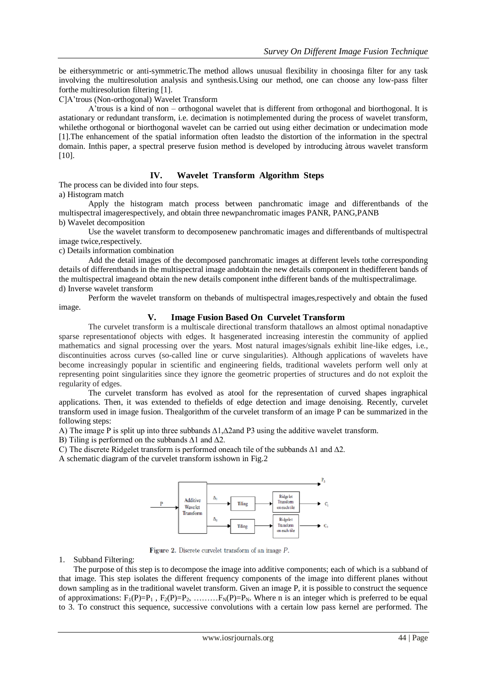be eithersymmetric or anti-symmetric.The method allows unusual flexibility in choosinga filter for any task involving the multiresolution analysis and synthesis.Using our method, one can choose any low-pass filter forthe multiresolution filtering [1].

C]A'trous (Non-orthogonal) Wavelet Transform

A'trous is a kind of non – orthogonal wavelet that is different from orthogonal and biorthogonal. It is astationary or redundant transform, i.e. decimation is notimplemented during the process of wavelet transform, whilethe orthogonal or biorthogonal wavelet can be carried out using either decimation or undecimation mode [1].The enhancement of the spatial information often leadsto the distortion of the information in the spectral domain. Inthis paper, a spectral preserve fusion method is developed by introducing àtrous wavelet transform [10].

## **IV. Wavelet Transform Algorithm Steps**

The process can be divided into four steps.

a) Histogram match

Apply the histogram match process between panchromatic image and differentbands of the multispectral imagerespectively, and obtain three newpanchromatic images PANR, PANG,PANB b) Wavelet decomposition

Use the wavelet transform to decomposenew panchromatic images and differentbands of multispectral image twice,respectively.

c) Details information combination

Add the detail images of the decomposed panchromatic images at different levels tothe corresponding details of differentbands in the multispectral image andobtain the new details component in thedifferent bands of the multispectral imageand obtain the new details component inthe different bands of the multispectralimage. d) Inverse wavelet transform

Perform the wavelet transform on thebands of multispectral images,respectively and obtain the fused image.

## **V. Image Fusion Based On Curvelet Transform**

The curvelet transform is a multiscale directional transform thatallows an almost optimal nonadaptive sparse representationof objects with edges. It hasgenerated increasing interestin the community of applied mathematics and signal processing over the years. Most natural images/signals exhibit line-like edges, i.e., discontinuities across curves (so-called line or curve singularities). Although applications of wavelets have become increasingly popular in scientific and engineering fields, traditional wavelets perform well only at representing point singularities since they ignore the geometric properties of structures and do not exploit the regularity of edges.

The curvelet transform has evolved as atool for the representation of curved shapes ingraphical applications. Then, it was extended to thefields of edge detection and image denoising. Recently, curvelet transform used in image fusion. Thealgorithm of the curvelet transform of an image P can be summarized in the following steps:

A) The image P is split up into three subbands ∆1,∆2and P3 using the additive wavelet transform.

B) Tiling is performed on the subbands ∆1 and ∆2.

C) The discrete Ridgelet transform is performed oneach tile of the subbands ∆1 and ∆2.

A schematic diagram of the curvelet transform isshown in Fig.2



Figure 2. Discrete curvelet transform of an image  $P$ .

1. Subband Filtering:

The purpose of this step is to decompose the image into additive components; each of which is a subband of that image. This step isolates the different frequency components of the image into different planes without down sampling as in the traditional wavelet transform. Given an image P, it is possible to construct the sequence of approximations:  $F_1(P)=P_1$ ,  $F_2(P)=P_2$ , ......... $F_N(P)=P_N$ . Where n is an integer which is preferred to be equal to 3. To construct this sequence, successive convolutions with a certain low pass kernel are performed. The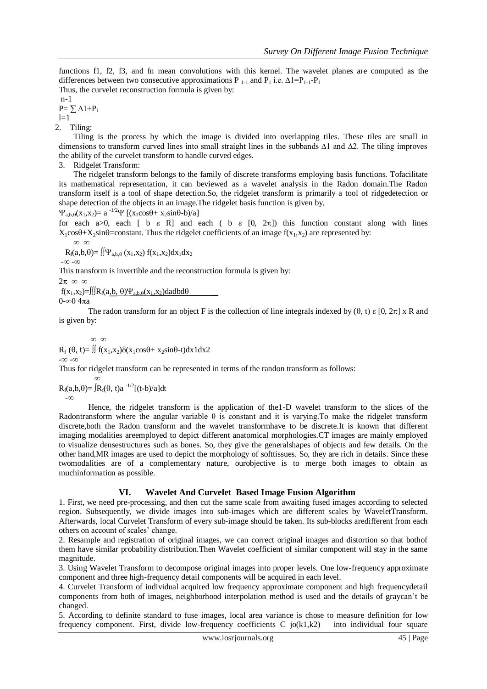functions f1, f2, f3, and fn mean convolutions with this kernel. The wavelet planes are computed as the differences between two consecutive approximations P  $_{1-1}$  and P<sub>1</sub> i.e.  $\Delta 1=P_{1-1}-P_1$ 

Thus, the curvelet reconstruction formula is given by: n-1

 $P = \sum \Delta 1 + P_1$  $l=1$ 

2. Tiling:

Tiling is the process by which the image is divided into overlapping tiles. These tiles are small in dimensions to transform curved lines into small straight lines in the subbands ∆1 and ∆2. The tiling improves the ability of the curvelet transform to handle curved edges.

3. Ridgelet Transform:

The ridgelet transform belongs to the family of discrete transforms employing basis functions. Tofacilitate its mathematical representation, it can beviewed as a wavelet analysis in the Radon domain.The Radon transform itself is a tool of shape detection.So, the ridgelet transform is primarily a tool of ridgedetection or shape detection of the objects in an image.The ridgelet basis function is given by,

 $\Psi_{a,b,\theta}(x_1,x_2) = a^{-1/2} \Psi \left[ (x_1 \cos\theta + x_2 \sin\theta - \theta)/a \right]$ 

for each a>0, each [ b  $\varepsilon$  R] and each ( b  $\varepsilon$  [0, 2 $\pi$ ]) this function constant along with lines  $X_1\cos\theta+X_2\sin\theta$  constant. Thus the ridgelet coefficients of an image  $f(x_1,x_2)$  are represented by:

$$
-\infty\ \infty
$$

 $R_f(a,b,\theta) = \iint \Psi_{a,b,\theta}(x_1,x_2) f(x_1,x_2) dx_1 dx_2$ 

**-∞ -∞**

This transform is invertible and the reconstruction formula is given by:

 $2\pi \infty \infty$ 

 $f(x_1,x_2)=\iiint R_f(a,b,\theta)\Psi_{a,b,\theta}(x_1,x_2)dadbd\theta$ 

 $0-\infty$ 0 4 $\pi$ a

The radon transform for an object F is the collection of line integrals indexed by  $(\theta, t) \varepsilon [0, 2\pi] \times R$  and is given by:

∞ ∞

 $R_f$  ( $\theta$ , t)=  $\iint f(x_1, x_2) \delta(x_1 \cos \theta + x_2 \sin \theta - t) dx 1 dx 2$ **-∞ -∞**

Thus for ridgelet transform can be represented in terms of the randon transform as follows:

 ∞  $R_f(a,b,\theta) = [R_f(\theta, t)a^{-1/2}[(t-b)/a]dt$  **-∞** 

Hence, the ridgelet transform is the application of the1-D wavelet transform to the slices of the Radontransform where the angular variable  $\theta$  is constant and it is varying. To make the ridgelet transform discrete,both the Radon transform and the wavelet transformhave to be discrete.It is known that different imaging modalities areemployed to depict different anatomical morphologies.CT images are mainly employed to visualize densestructures such as bones. So, they give the generalshapes of objects and few details. On the other hand,MR images are used to depict the morphology of softtissues. So, they are rich in details. Since these twomodalities are of a complementary nature, ourobjective is to merge both images to obtain as muchinformation as possible.

## **VI. Wavelet And Curvelet Based Image Fusion Algorithm**

1. First, we need pre-processing, and then cut the same scale from awaiting fused images according to selected region. Subsequently, we divide images into sub-images which are different scales by WaveletTransform. Afterwards, local Curvelet Transform of every sub-image should be taken. Its sub-blocks aredifferent from each others on account of scales' change.

2. Resample and registration of original images, we can correct original images and distortion so that bothof them have similar probability distribution.Then Wavelet coefficient of similar component will stay in the same magnitude.

3. Using Wavelet Transform to decompose original images into proper levels. One low-frequency approximate component and three high-frequency detail components will be acquired in each level.

4. Curvelet Transform of individual acquired low frequency approximate component and high frequencydetail components from both of images, neighborhood interpolation method is used and the details of graycan't be changed.

5. According to definite standard to fuse images, local area variance is chose to measure definition for low frequency component. First, divide low-frequency coefficients  $C$  jo(k1,k2) into individual four square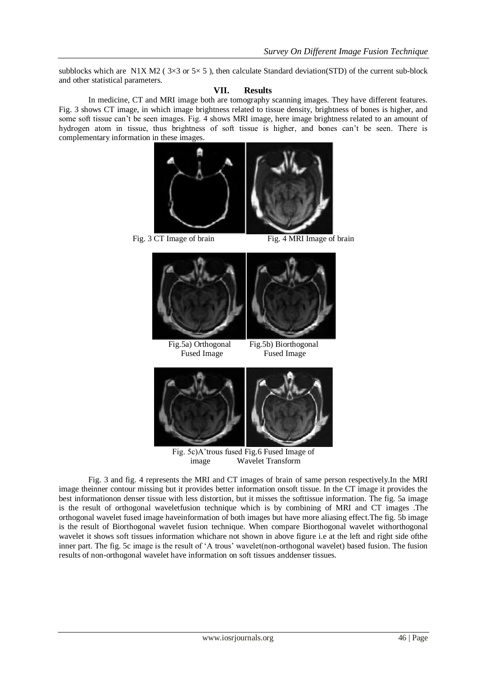subblocks which are N1X M2 ( $3\times3$  or  $5\times5$ ), then calculate Standard deviation(STD) of the current sub-block and other statistical parameters.

#### **VII. Results**

In medicine, CT and MRI image both are tomography scanning images. They have different features. Fig. 3 shows CT image, in which image brightness related to tissue density, brightness of bones is higher, and some soft tissue can't be seen images. Fig. 4 shows MRI image, here image brightness related to an amount of hydrogen atom in tissue, thus brightness of soft tissue is higher, and bones can't be seen. There is complementary information in these images.



Fig. 3 CT Image of brain Fig. 4 MRI Image of brain



Fig. 5c)A'trous fused Fig.6 Fused Image of image Wavelet Transform

Fig. 3 and fig. 4 represents the MRI and CT images of brain of same person respectively.In the MRI image theinner contour missing but it provides better information onsoft tissue. In the CT image it provides the best informationon denser tissue with less distortion, but it misses the softtissue information. The fig. 5a image is the result of orthogonal waveletfusion technique which is by combining of MRI and CT images .The orthogonal wavelet fused image haveinformation of both images but have more aliasing effect.The fig. 5b image is the result of Biorthogonal wavelet fusion technique. When compare Biorthogonal wavelet withorthogonal wavelet it shows soft tissues information whichare not shown in above figure i.e at the left and right side ofthe inner part. The fig. 5c image is the result of 'A trous' wavelet(non-orthogonal wavelet) based fusion. The fusion results of non-orthogonal wavelet have information on soft tissues anddenser tissues.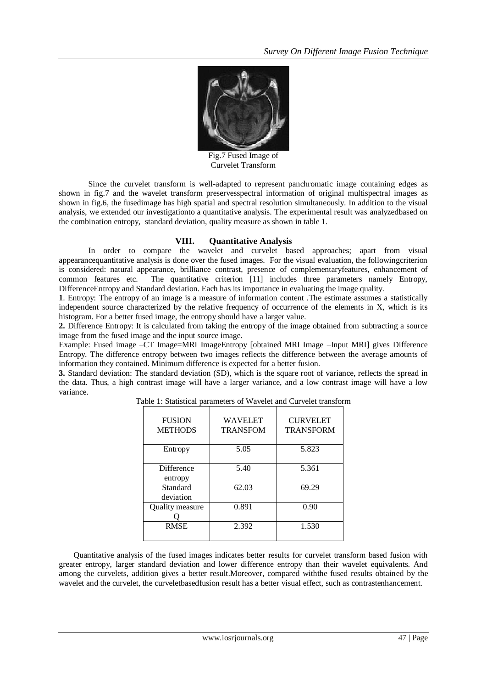

Fig.7 Fused Image of Curvelet Transform

Since the curvelet transform is well-adapted to represent panchromatic image containing edges as shown in fig.7 and the wavelet transform preservesspectral information of original multispectral images as shown in fig.6, the fusedimage has high spatial and spectral resolution simultaneously. In addition to the visual analysis, we extended our investigationto a quantitative analysis. The experimental result was analyzedbased on the combination entropy, standard deviation, quality measure as shown in table 1.

#### **VIII. Quantitative Analysis**

In order to compare the wavelet and curvelet based approaches; apart from visual appearancequantitative analysis is done over the fused images. For the visual evaluation, the followingcriterion is considered: natural appearance, brilliance contrast, presence of complementaryfeatures, enhancement of common features etc. The quantitative criterion [11] includes three parameters namely Entropy, DifferenceEntropy and Standard deviation. Each has its importance in evaluating the image quality.

**1**. Entropy: The entropy of an image is a measure of information content .The estimate assumes a statistically independent source characterized by the relative frequency of occurrence of the elements in X, which is its histogram. For a better fused image, the entropy should have a larger value.

**2.** Difference Entropy: It is calculated from taking the entropy of the image obtained from subtracting a source image from the fused image and the input source image.

Example: Fused image –CT Image=MRI ImageEntropy [obtained MRI Image –Input MRI] gives Difference Entropy. The difference entropy between two images reflects the difference between the average amounts of information they contained. Minimum difference is expected for a better fusion.

**3.** Standard deviation: The standard deviation (SD), which is the square root of variance, reflects the spread in the data. Thus, a high contrast image will have a larger variance, and a low contrast image will have a low variance.

| <b>FUSION</b><br><b>METHODS</b> | <b>WAVELET</b><br><b>TRANSFOM</b> | <b>CURVELET</b><br><b>TRANSFORM</b> |
|---------------------------------|-----------------------------------|-------------------------------------|
| Entropy                         | 5.05                              | 5.823                               |
| Difference<br>entropy           | 5.40                              | 5.361                               |
| Standard<br>deviation           | 62.03                             | 69.29                               |
| Quality measure                 | 0.891                             | 0.90                                |
| <b>RMSE</b>                     | 2.392                             | 1.530                               |

Table 1: Statistical parameters of Wavelet and Curvelet transform

Quantitative analysis of the fused images indicates better results for curvelet transform based fusion with greater entropy, larger standard deviation and lower difference entropy than their wavelet equivalents. And among the curvelets, addition gives a better result.Moreover, compared withthe fused results obtained by the wavelet and the curvelet, the curveletbasedfusion result has a better visual effect, such as contrastenhancement.